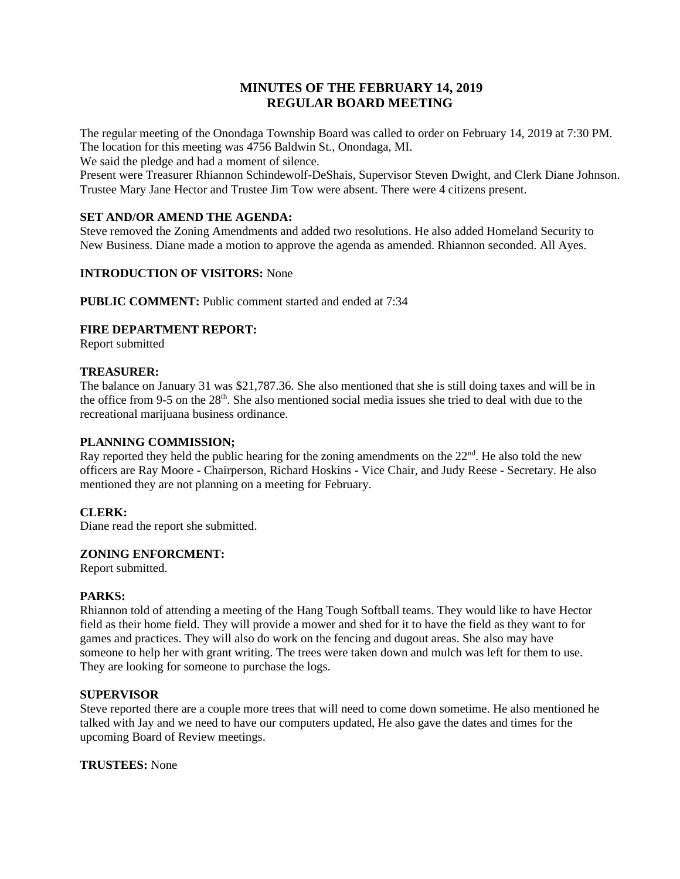## **MINUTES OF THE FEBRUARY 14, 2019 REGULAR BOARD MEETING**

The regular meeting of the Onondaga Township Board was called to order on February 14, 2019 at 7:30 PM. The location for this meeting was 4756 Baldwin St., Onondaga, MI.

We said the pledge and had a moment of silence.

Present were Treasurer Rhiannon Schindewolf-DeShais, Supervisor Steven Dwight, and Clerk Diane Johnson. Trustee Mary Jane Hector and Trustee Jim Tow were absent. There were 4 citizens present.

#### **SET AND/OR AMEND THE AGENDA:**

Steve removed the Zoning Amendments and added two resolutions. He also added Homeland Security to New Business. Diane made a motion to approve the agenda as amended. Rhiannon seconded. All Ayes.

#### **INTRODUCTION OF VISITORS:** None

**PUBLIC COMMENT:** Public comment started and ended at 7:34

#### **FIRE DEPARTMENT REPORT:**

Report submitted

#### **TREASURER:**

The balance on January 31 was \$21,787.36. She also mentioned that she is still doing taxes and will be in the office from 9-5 on the 28<sup>th</sup>. She also mentioned social media issues she tried to deal with due to the recreational marijuana business ordinance.

#### **PLANNING COMMISSION;**

Ray reported they held the public hearing for the zoning amendments on the  $22<sup>nd</sup>$ . He also told the new officers are Ray Moore - Chairperson, Richard Hoskins - Vice Chair, and Judy Reese - Secretary. He also mentioned they are not planning on a meeting for February.

#### **CLERK:**

Diane read the report she submitted.

#### **ZONING ENFORCMENT:**

Report submitted.

#### **PARKS:**

Rhiannon told of attending a meeting of the Hang Tough Softball teams. They would like to have Hector field as their home field. They will provide a mower and shed for it to have the field as they want to for games and practices. They will also do work on the fencing and dugout areas. She also may have someone to help her with grant writing. The trees were taken down and mulch was left for them to use. They are looking for someone to purchase the logs.

#### **SUPERVISOR**

Steve reported there are a couple more trees that will need to come down sometime. He also mentioned he talked with Jay and we need to have our computers updated, He also gave the dates and times for the upcoming Board of Review meetings.

#### **TRUSTEES:** None